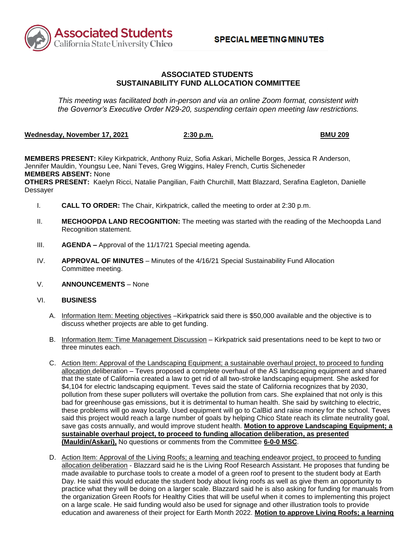

## **SUSTAINABILITY FUND ALLOCATION COMMITTEE ASSOCIATED STUDENTS**

 *This meeting was facilitated both in-person and via an online Zoom format, consistent with the Governor's Executive Order N29-20, suspending certain open meeting law restrictions.* 

### **Wednesday, November 17, 2021 2:30 p.m. BMU 209**

**MEMBERS PRESENT:** Kiley Kirkpatrick, Anthony Ruiz, Sofia Askari, Michelle Borges, Jessica R Anderson, Jennifer Mauldin, Youngsu Lee, Nani Teves, Greg Wiggins, Haley French, Curtis Sicheneder **MEMBERS ABSENT:** None

**OTHERS PRESENT:** Kaelyn Ricci, Natalie Pangilian, Faith Churchill, Matt Blazzard, Serafina Eagleton, Danielle Dessayer

- I. **CALL TO ORDER:** The Chair, Kirkpatrick, called the meeting to order at 2:30 p.m.
- II. **MECHOOPDA LAND RECOGNITION:** The meeting was started with the reading of the Mechoopda Land Recognition statement.
- III. **AGENDA –** Approval of the 11/17/21 Special meeting agenda.
- IV. **APPROVAL OF MINUTES**  Minutes of the 4/16/21 Special Sustainability Fund Allocation Committee meeting.
- V. **ANNOUNCEMENTS**  None
- VI. **BUSINESS** 
	- A. Information Item: Meeting objectives –Kirkpatrick said there is \$50,000 available and the objective is to discuss whether projects are able to get funding.
	- B. Information Item: Time Management Discussion Kirkpatrick said presentations need to be kept to two or three minutes each.
	- allocation deliberation Teves proposed a complete overhaul of the AS landscaping equipment and shared pollution from these super polluters will overtake the pollution from cars. She explained that not only is this C. Action Item: Approval of the Landscaping Equipment; a sustainable overhaul project, to proceed to funding that the state of California created a law to get rid of all two-stroke landscaping equipment. She asked for \$4,104 for electric landscaping equipment. Teves said the state of California recognizes that by 2030, bad for greenhouse gas emissions, but it is detrimental to human health. She said by switching to electric, these problems will go away locally. Used equipment will go to CalBid and raise money for the school. Teves said this project would reach a large number of goals by helping Chico State reach its climate neutrality goal, save gas costs annually, and would improve student health. **Motion to approve Landscaping Equipment; a sustainable overhaul project, to proceed to funding allocation deliberation, as presented (Mauldin/Askari),** No questions or comments from the Committee **6-0-0 MSC**.
	- allocation deliberation Blazzard said he is the Living Roof Research Assistant. He proposes that funding be Day. He said this would educate the student body about living roofs as well as give them an opportunity to practice what they will be doing on a larger scale. Blazzard said he is also asking for funding for manuals from the organization Green Roofs for Healthy Cities that will be useful when it comes to implementing this project D. Action Item: Approval of the Living Roofs; a learning and teaching endeavor project, to proceed to funding made available to purchase tools to create a model of a green roof to present to the student body at Earth on a large scale. He said funding would also be used for signage and other illustration tools to provide education and awareness of their project for Earth Month 2022. **Motion to approve Living Roofs; a learning**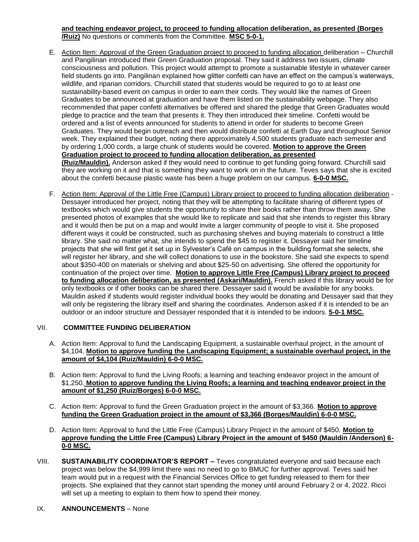## **and teaching endeavor project, to proceed to funding allocation deliberation, as presented (Borges /Ruiz)** No questions or comments from the Committee. **MSC 5-0-1.**

- field students go into. Pangilinan explained how glitter confetti can have an effect on the campus's waterways, wildlife, and riparian corridors. Churchill stated that students would be required to go to at least one Graduates to be announced at graduation and have them listed on the sustainability webpage. They also pledge to practice and the team that presents it. They then introduced their timeline. Confetti would be they are working on it and that is something they want to work on in the future. Teves says that she is excited E. Action Item: Approval of the Green Graduation project to proceed to funding allocation deliberation – Churchill and Pangilinan introduced their Green Graduation proposal. They said it address two issues, climate consciousness and pollution. This project would attempt to promote a sustainable lifestyle in whatever career sustainability-based event on campus in order to earn their cords. They would like the names of Green recommended that paper confetti alternatives be offered and shared the pledge that Green Graduates would ordered and a list of events announced for students to attend in order for students to become Green Graduates. They would begin outreach and then would distribute confetti at Earth Day and throughout Senior week. They explained their budget, noting there approximately 4,500 students graduate each semester and by ordering 1,000 cords, a large chunk of students would be covered. **Motion to approve the Green Graduation project to proceed to funding allocation deliberation, as presented (Ruiz/Mauldin).** Anderson asked if they would need to continue to get funding going forward. Churchill said about the confetti because plastic waste has been a huge problem on our campus. **6-0-0 MSC.**
- Dessayer introduced her project, noting that they will be attempting to facilitate sharing of different types of and it would then be put on a map and would invite a larger community of people to visit it. She proposed different ways it could be constructed, such as purchasing shelves and buying materials to construct a little Mauldin asked if students would register individual books they would be donating and Dessayer said that they will only be registering the library itself and sharing the coordinates. Anderson asked if it is intended to be an F. Action Item: Approval of the Little Free (Campus) Library project to proceed to funding allocation deliberation textbooks which would give students the opportunity to share their books rather than throw them away. She presented photos of examples that she would like to replicate and said that she intends to register this library library. She said no matter what, she intends to spend the \$45 to register it. Dessayer said her timeline projects that she will first get it set up in Sylvester's Café on campus in the building format she selects, she will register her library, and she will collect donations to use in the bookstore. She said she expects to spend about \$350-400 on materials or shelving and about \$25-50 on advertising. She offered the opportunity for continuation of the project over time. **Motion to approve Little Free (Campus) Library project to proceed to funding allocation deliberation, as presented (Askari/Mauldin).** French asked if this library would be for only textbooks or if other books can be shared there. Dessayer said it would be available for any books. outdoor or an indoor structure and Dessayer responded that it is intended to be indoors. **5-0-1 MSC.**

# VII. **COMMITTEE FUNDING DELIBERATION**

- A. Action Item: Approval to fund the Landscaping Equipment, a sustainable overhaul project, in the amount of **amount of \$4,104 (Ruiz/Mauldin) 6-0-0 MSC.** \$4,104. **Motion to approve funding the Landscaping Equipment; a sustainable overhaul project, in the**
- B. Action Item: Approval to fund the Living Roofs; a learning and teaching endeavor project in the amount of \$1,250. **Motion to approve funding the Living Roofs; a learning and teaching endeavor project in the amount of \$1,250 (Ruiz/Borges) 6-0-0 MSC.**
- C. Action Item: Approval to fund the Green Graduation project in the amount of \$3,366. **Motion to approve funding the Green Graduation project in the amount of \$3,366 (Borges/Mauldin) 6-0-0 MSC.**
- D. Action Item: Approval to fund the Little Free (Campus) Library Project in the amount of \$450. **Motion to approve funding the Little Free (Campus) Library Project in the amount of \$450 (Mauldin /Anderson) 6- 0-0 MSC.**
- VIII. **SUSTAINABILITY COORDINATOR'S REPORT –** Teves congratulated everyone and said because each project was below the \$4,999 limit there was no need to go to BMUC for further approval. Teves said her team would put in a request with the Financial Services Office to get funding released to them for their projects. She explained that they cannot start spending the money until around February 2 or 4, 2022. Ricci will set up a meeting to explain to them how to spend their money.
- IX. **ANNOUNCEMENTS** None